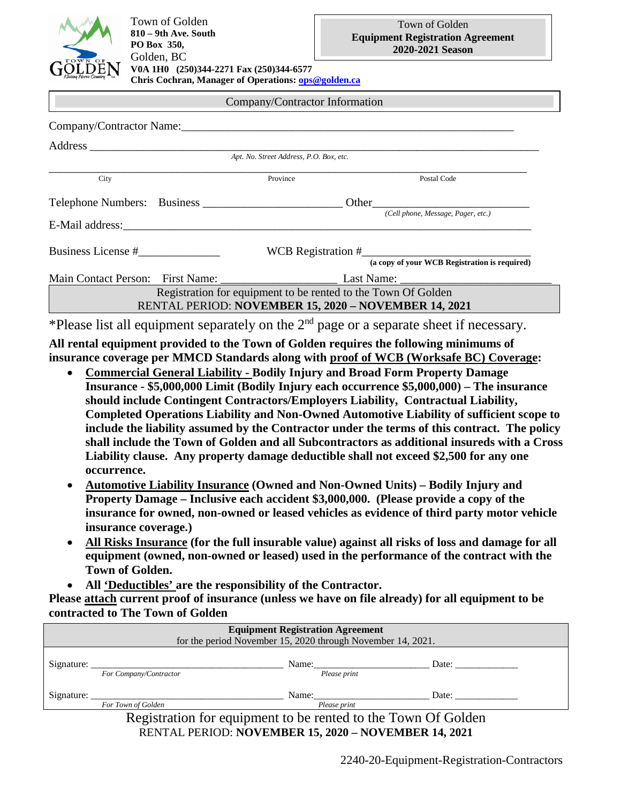

## Company/Contractor Information

| Company/Contractor Name:                             |  |                                                               |                                               |  |  |  |  |  |
|------------------------------------------------------|--|---------------------------------------------------------------|-----------------------------------------------|--|--|--|--|--|
|                                                      |  |                                                               |                                               |  |  |  |  |  |
| Apt. No. Street Address, P.O. Box, etc.              |  |                                                               |                                               |  |  |  |  |  |
| City                                                 |  | Province                                                      | Postal Code                                   |  |  |  |  |  |
|                                                      |  | Telephone Numbers: Business<br>Other                          |                                               |  |  |  |  |  |
|                                                      |  |                                                               | (Cell phone, Message, Pager, etc.)            |  |  |  |  |  |
| Business License #                                   |  |                                                               |                                               |  |  |  |  |  |
|                                                      |  |                                                               | (a copy of your WCB Registration is required) |  |  |  |  |  |
|                                                      |  |                                                               |                                               |  |  |  |  |  |
|                                                      |  | Registration for equipment to be rented to the Town Of Golden |                                               |  |  |  |  |  |
| RENTAL PERIOD: NOVEMBER 15, 2020 - NOVEMBER 14, 2021 |  |                                                               |                                               |  |  |  |  |  |

\*Please list all equipment separately on the  $2<sup>nd</sup>$  page or a separate sheet if necessary.

**All rental equipment provided to the Town of Golden requires the following minimums of insurance coverage per MMCD Standards along with proof of WCB (Worksafe BC) Coverage:**

- **Commercial General Liability - Bodily Injury and Broad Form Property Damage Insurance - \$5,000,000 Limit (Bodily Injury each occurrence \$5,000,000) – The insurance should include Contingent Contractors/Employers Liability, Contractual Liability, Completed Operations Liability and Non-Owned Automotive Liability of sufficient scope to include the liability assumed by the Contractor under the terms of this contract. The policy shall include the Town of Golden and all Subcontractors as additional insureds with a Cross Liability clause. Any property damage deductible shall not exceed \$2,500 for any one occurrence.**
- **Automotive Liability Insurance (Owned and Non-Owned Units) – Bodily Injury and Property Damage – Inclusive each accident \$3,000,000. (Please provide a copy of the insurance for owned, non-owned or leased vehicles as evidence of third party motor vehicle insurance coverage.)**
- **All Risks Insurance (for the full insurable value) against all risks of loss and damage for all equipment (owned, non-owned or leased) used in the performance of the contract with the Town of Golden.**
- **All 'Deductibles' are the responsibility of the Contractor.**

**Please attach current proof of insurance (unless we have on file already) for all equipment to be contracted to The Town of Golden**

| <b>Equipment Registration Agreement</b><br>for the period November 15, 2020 through November 14, 2021. |                        |                       |       |  |  |  |  |
|--------------------------------------------------------------------------------------------------------|------------------------|-----------------------|-------|--|--|--|--|
| $Sigma =$                                                                                              | For Company/Contractor | Name:<br>Please print | Date: |  |  |  |  |
| Signature:                                                                                             | For Town of Golden     | Name:<br>Please print | Date: |  |  |  |  |
| Registration for equipment to be rented to the Town Of Golden                                          |                        |                       |       |  |  |  |  |

RENTAL PERIOD: **NOVEMBER 15, 2020 – NOVEMBER 14, 2021**